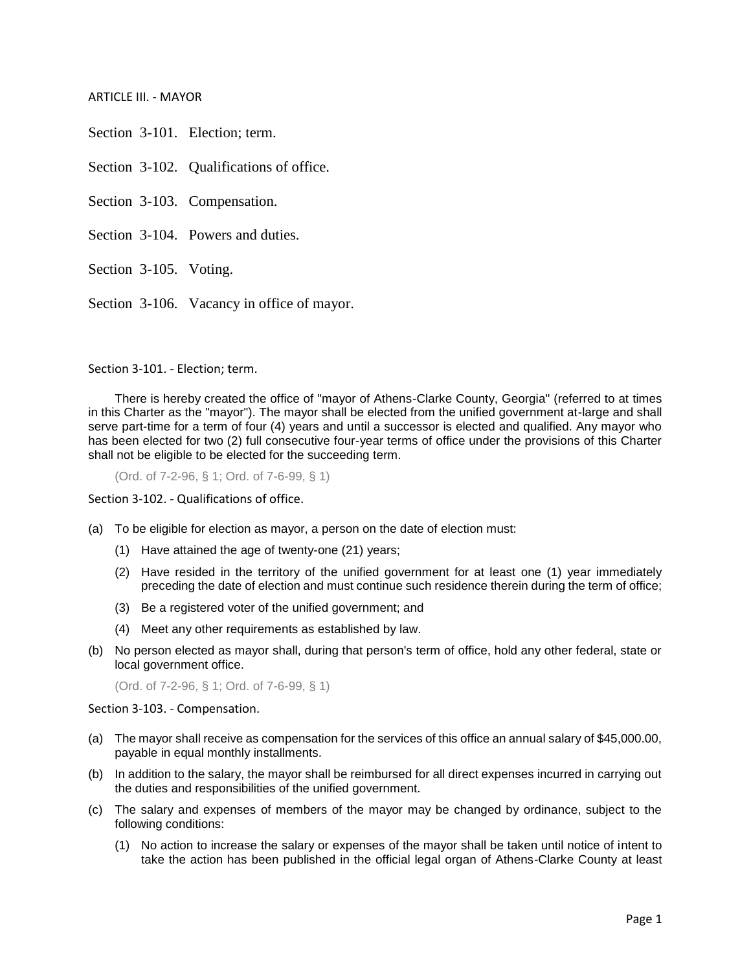ARTICLE III. - MAYOR

Section 3-101. Election; term.

Section 3-102. Qualifications of office.

Section 3-103. Compensation.

Section 3-104. Powers and duties.

Section 3-105. Voting.

Section 3-106. Vacancy in office of mayor.

Section 3-101. - Election; term.

There is hereby created the office of "mayor of Athens-Clarke County, Georgia" (referred to at times in this Charter as the "mayor"). The mayor shall be elected from the unified government at-large and shall serve part-time for a term of four (4) years and until a successor is elected and qualified. Any mayor who has been elected for two (2) full consecutive four-year terms of office under the provisions of this Charter shall not be eligible to be elected for the succeeding term.

(Ord. of 7-2-96, § 1; Ord. of 7-6-99, § 1)

Section 3-102. - Qualifications of office.

(a) To be eligible for election as mayor, a person on the date of election must:

- (1) Have attained the age of twenty-one (21) years;
- (2) Have resided in the territory of the unified government for at least one (1) year immediately preceding the date of election and must continue such residence therein during the term of office;
- (3) Be a registered voter of the unified government; and
- (4) Meet any other requirements as established by law.
- (b) No person elected as mayor shall, during that person's term of office, hold any other federal, state or local government office.

(Ord. of 7-2-96, § 1; Ord. of 7-6-99, § 1)

Section 3-103. - Compensation.

- (a) The mayor shall receive as compensation for the services of this office an annual salary of \$45,000.00, payable in equal monthly installments.
- (b) In addition to the salary, the mayor shall be reimbursed for all direct expenses incurred in carrying out the duties and responsibilities of the unified government.
- (c) The salary and expenses of members of the mayor may be changed by ordinance, subject to the following conditions:
	- (1) No action to increase the salary or expenses of the mayor shall be taken until notice of intent to take the action has been published in the official legal organ of Athens-Clarke County at least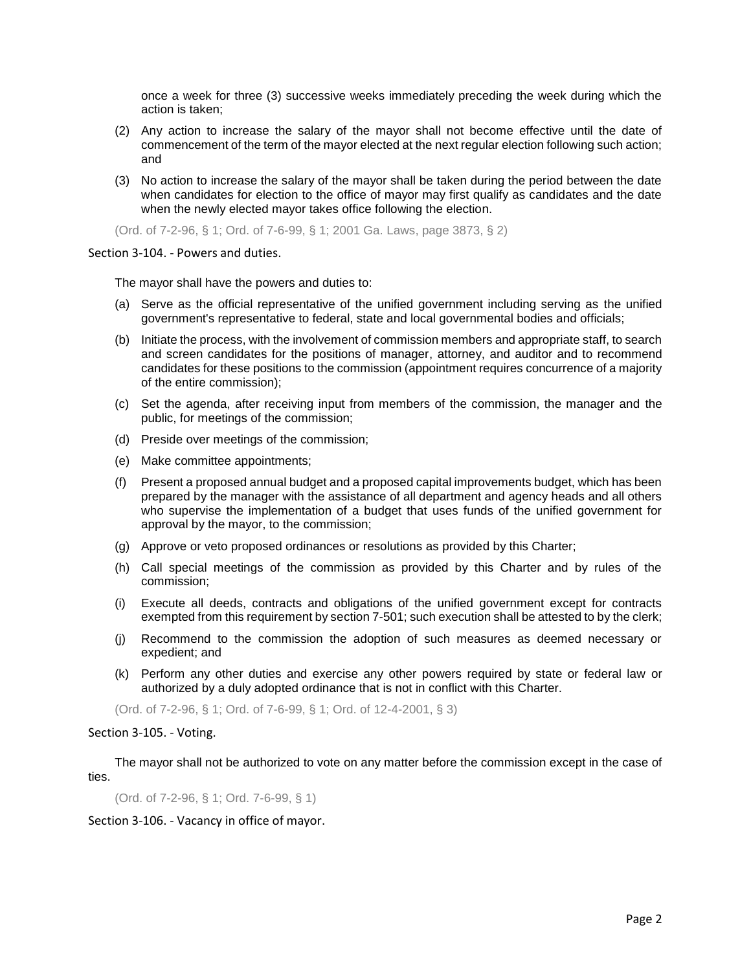once a week for three (3) successive weeks immediately preceding the week during which the action is taken;

- (2) Any action to increase the salary of the mayor shall not become effective until the date of commencement of the term of the mayor elected at the next regular election following such action; and
- (3) No action to increase the salary of the mayor shall be taken during the period between the date when candidates for election to the office of mayor may first qualify as candidates and the date when the newly elected mayor takes office following the election.

(Ord. of 7-2-96, § 1; Ord. of 7-6-99, § 1; 2001 Ga. Laws, page 3873, § 2)

## Section 3-104. - Powers and duties.

The mayor shall have the powers and duties to:

- (a) Serve as the official representative of the unified government including serving as the unified government's representative to federal, state and local governmental bodies and officials;
- (b) Initiate the process, with the involvement of commission members and appropriate staff, to search and screen candidates for the positions of manager, attorney, and auditor and to recommend candidates for these positions to the commission (appointment requires concurrence of a majority of the entire commission);
- (c) Set the agenda, after receiving input from members of the commission, the manager and the public, for meetings of the commission;
- (d) Preside over meetings of the commission;
- (e) Make committee appointments;
- (f) Present a proposed annual budget and a proposed capital improvements budget, which has been prepared by the manager with the assistance of all department and agency heads and all others who supervise the implementation of a budget that uses funds of the unified government for approval by the mayor, to the commission;
- (g) Approve or veto proposed ordinances or resolutions as provided by this Charter;
- (h) Call special meetings of the commission as provided by this Charter and by rules of the commission;
- (i) Execute all deeds, contracts and obligations of the unified government except for contracts exempted from this requirement by section 7-501; such execution shall be attested to by the clerk;
- (j) Recommend to the commission the adoption of such measures as deemed necessary or expedient; and
- (k) Perform any other duties and exercise any other powers required by state or federal law or authorized by a duly adopted ordinance that is not in conflict with this Charter.

(Ord. of 7-2-96, § 1; Ord. of 7-6-99, § 1; Ord. of 12-4-2001, § 3)

## Section 3-105. - Voting.

The mayor shall not be authorized to vote on any matter before the commission except in the case of ties.

(Ord. of 7-2-96, § 1; Ord. 7-6-99, § 1)

Section 3-106. - Vacancy in office of mayor.